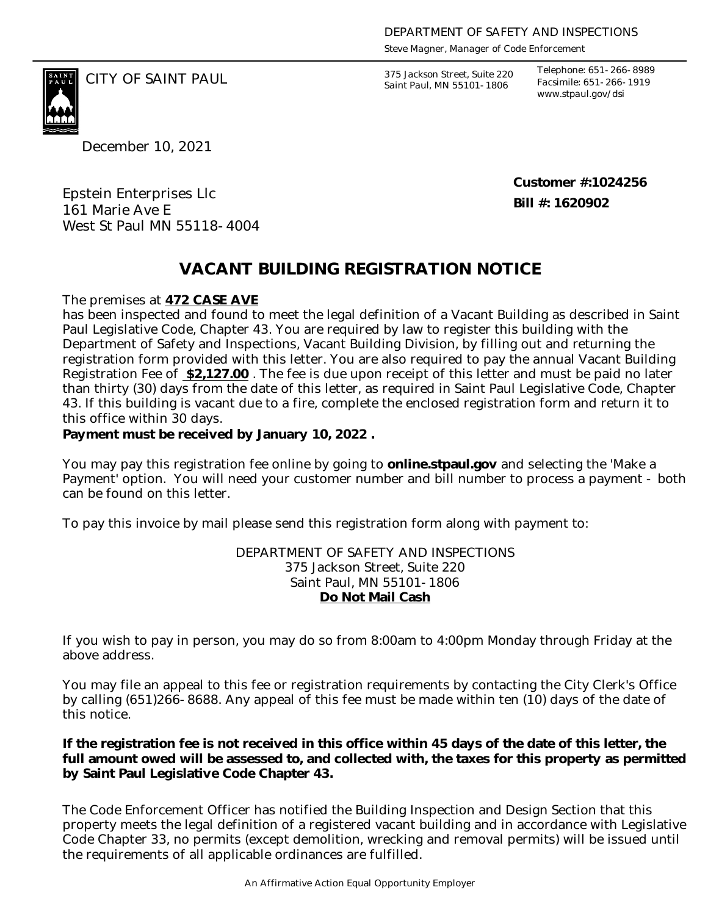*Steve Magner, Manager of Code Enforcement*

375 Jackson Street, Suite 220 *Saint Paul, MN 55101-1806*

*Telephone: 651-266-8989 Facsimile: 651-266-1919 www.stpaul.gov/dsi*

CITY OF SAINT PAUL *375 Jackson Street, Suite 220* 

December 10, 2021

Epstein Enterprises Llc 161 Marie Ave E West St Paul MN 55118-4004 **Customer #:1024256 Bill #: 1620902**

## **VACANT BUILDING REGISTRATION NOTICE**

The premises at **472 CASE AVE**

has been inspected and found to meet the legal definition of a Vacant Building as described in Saint Paul Legislative Code, Chapter 43. You are required by law to register this building with the Department of Safety and Inspections, Vacant Building Division, by filling out and returning the registration form provided with this letter. You are also required to pay the annual Vacant Building Registration Fee of **\$2,127.00** . The fee is due upon receipt of this letter and must be paid no later than thirty (30) days from the date of this letter, as required in Saint Paul Legislative Code, Chapter 43. If this building is vacant due to a fire, complete the enclosed registration form and return it to this office within 30 days.

**Payment must be received by January 10, 2022 .** 

You may pay this registration fee online by going to **online.stpaul.gov** and selecting the 'Make a Payment' option. You will need your customer number and bill number to process a payment - both can be found on this letter.

To pay this invoice by mail please send this registration form along with payment to:

DEPARTMENT OF SAFETY AND INSPECTIONS 375 Jackson Street, Suite 220 Saint Paul, MN 55101-1806 **Do Not Mail Cash**

If you wish to pay in person, you may do so from 8:00am to 4:00pm Monday through Friday at the above address.

You may file an appeal to this fee or registration requirements by contacting the City Clerk's Office by calling (651)266-8688. Any appeal of this fee must be made within ten (10) days of the date of this notice.

**If the registration fee is not received in this office within 45 days of the date of this letter, the full amount owed will be assessed to, and collected with, the taxes for this property as permitted by Saint Paul Legislative Code Chapter 43.**

The Code Enforcement Officer has notified the Building Inspection and Design Section that this property meets the legal definition of a registered vacant building and in accordance with Legislative Code Chapter 33, no permits (except demolition, wrecking and removal permits) will be issued until the requirements of all applicable ordinances are fulfilled.